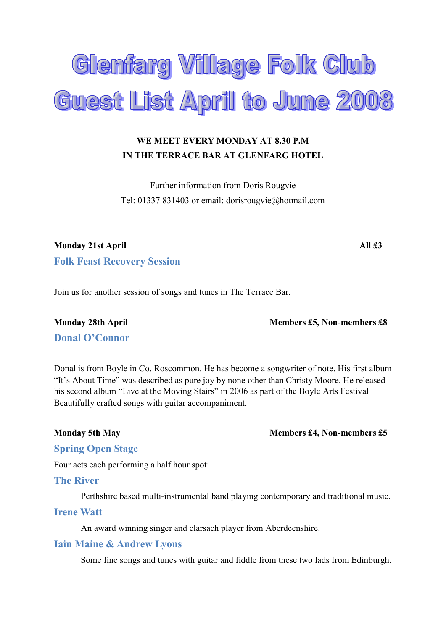

# WE MEET EVERY MONDAY AT 8.30 P.M IN THE TERRACE BAR AT GLENFARG HOTEL

Further information from Doris Rougvie Tel: 01337 831403 or email: dorisrougvie@hotmail.com

Monday 21st April **All £3** Folk Feast Recovery Session

Join us for another session of songs and tunes in The Terrace Bar.

Monday 28th April Members £5, Non-members £8

Donal O'Connor

Donal is from Boyle in Co. Roscommon. He has become a songwriter of note. His first album "It's About Time" was described as pure joy by none other than Christy Moore. He released his second album "Live at the Moving Stairs" in 2006 as part of the Boyle Arts Festival Beautifully crafted songs with guitar accompaniment.

Monday 5th May Members £4, Non-members £5

### Spring Open Stage

Four acts each performing a half hour spot:

### The River

Perthshire based multi-instrumental band playing contemporary and traditional music.

## Irene Watt

An award winning singer and clarsach player from Aberdeenshire.

### Iain Maine & Andrew Lyons

Some fine songs and tunes with guitar and fiddle from these two lads from Edinburgh.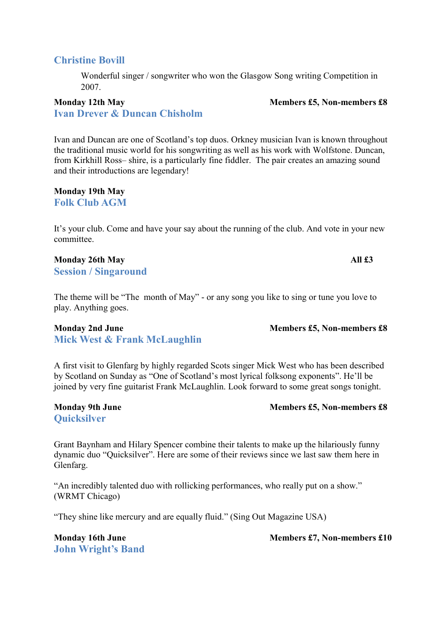# Christine Bovill

Wonderful singer / songwriter who won the Glasgow Song writing Competition in 2007.

## Monday 12th May Members £5, Non-members £8 Ivan Drever & Duncan Chisholm

Ivan and Duncan are one of Scotland's top duos. Orkney musician Ivan is known throughout the traditional music world for his songwriting as well as his work with Wolfstone. Duncan, from Kirkhill Ross– shire, is a particularly fine fiddler. The pair creates an amazing sound and their introductions are legendary!

Monday 19th May Folk Club AGM

It's your club. Come and have your say about the running of the club. And vote in your new committee.

# Monday 26th May All  $\sharp 3$

Session / Singaround

The theme will be "The month of May" - or any song you like to sing or tune you love to play. Anything goes.

### Monday 2nd June Members £5, Non-members £8 Mick West & Frank McLaughlin

A first visit to Glenfarg by highly regarded Scots singer Mick West who has been described by Scotland on Sunday as "One of Scotland's most lyrical folksong exponents". He'll be joined by very fine guitarist Frank McLaughlin. Look forward to some great songs tonight.

**Ouicksilver** 

Grant Baynham and Hilary Spencer combine their talents to make up the hilariously funny dynamic duo "Quicksilver". Here are some of their reviews since we last saw them here in Glenfarg.

"An incredibly talented duo with rollicking performances, who really put on a show." (WRMT Chicago)

"They shine like mercury and are equally fluid." (Sing Out Magazine USA)

John Wright's Band

Monday 16th June **Members 21, Non-members £10** 

Monday 9th June **Members 28** Members £5, Non-members £8